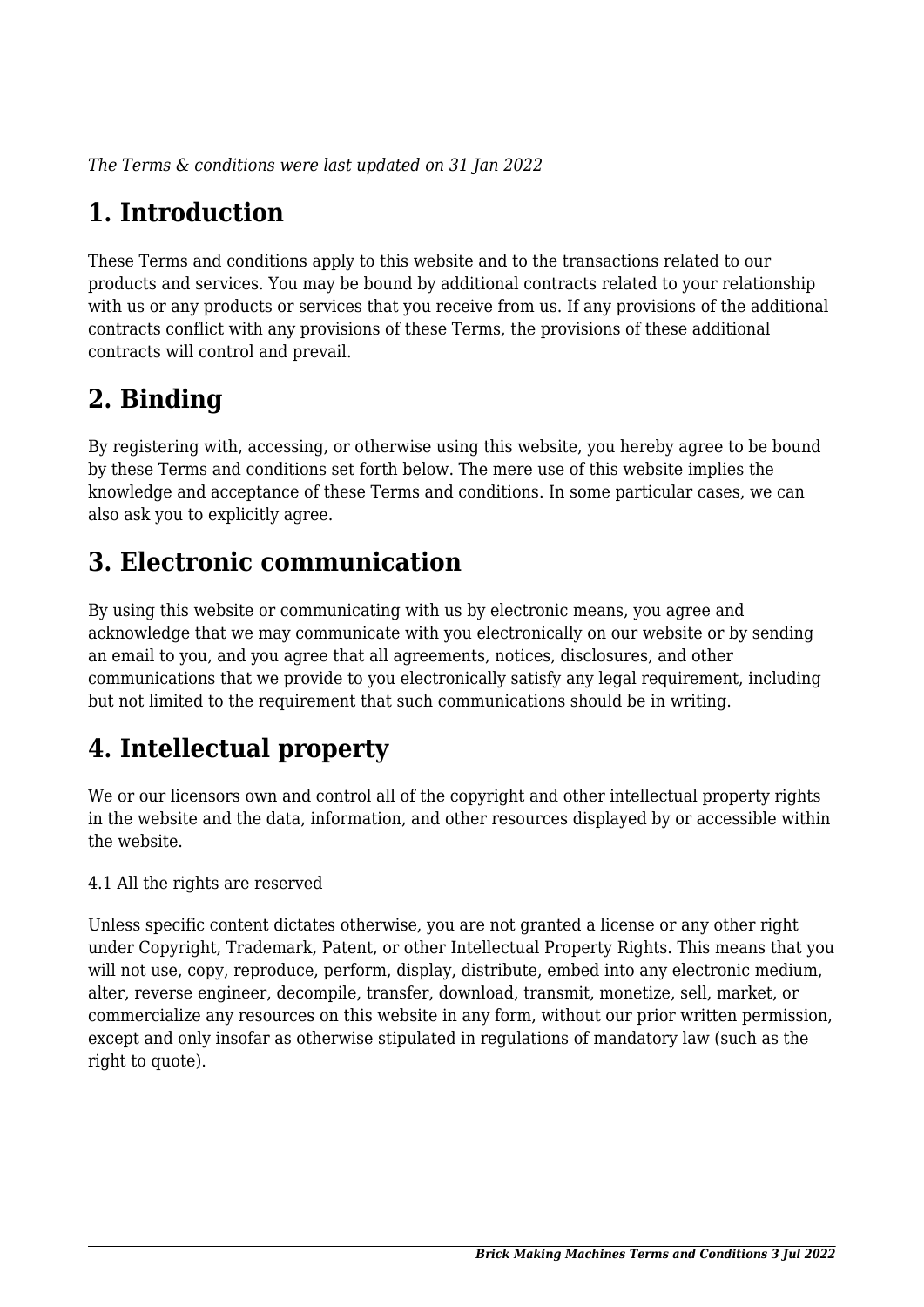*The Terms & conditions were last updated on 31 Jan 2022*

# **1. Introduction**

These Terms and conditions apply to this website and to the transactions related to our products and services. You may be bound by additional contracts related to your relationship with us or any products or services that you receive from us. If any provisions of the additional contracts conflict with any provisions of these Terms, the provisions of these additional contracts will control and prevail.

## **2. Binding**

By registering with, accessing, or otherwise using this website, you hereby agree to be bound by these Terms and conditions set forth below. The mere use of this website implies the knowledge and acceptance of these Terms and conditions. In some particular cases, we can also ask you to explicitly agree.

# **3. Electronic communication**

By using this website or communicating with us by electronic means, you agree and acknowledge that we may communicate with you electronically on our website or by sending an email to you, and you agree that all agreements, notices, disclosures, and other communications that we provide to you electronically satisfy any legal requirement, including but not limited to the requirement that such communications should be in writing.

# **4. Intellectual property**

We or our licensors own and control all of the copyright and other intellectual property rights in the website and the data, information, and other resources displayed by or accessible within the website.

4.1 All the rights are reserved

Unless specific content dictates otherwise, you are not granted a license or any other right under Copyright, Trademark, Patent, or other Intellectual Property Rights. This means that you will not use, copy, reproduce, perform, display, distribute, embed into any electronic medium, alter, reverse engineer, decompile, transfer, download, transmit, monetize, sell, market, or commercialize any resources on this website in any form, without our prior written permission, except and only insofar as otherwise stipulated in regulations of mandatory law (such as the right to quote).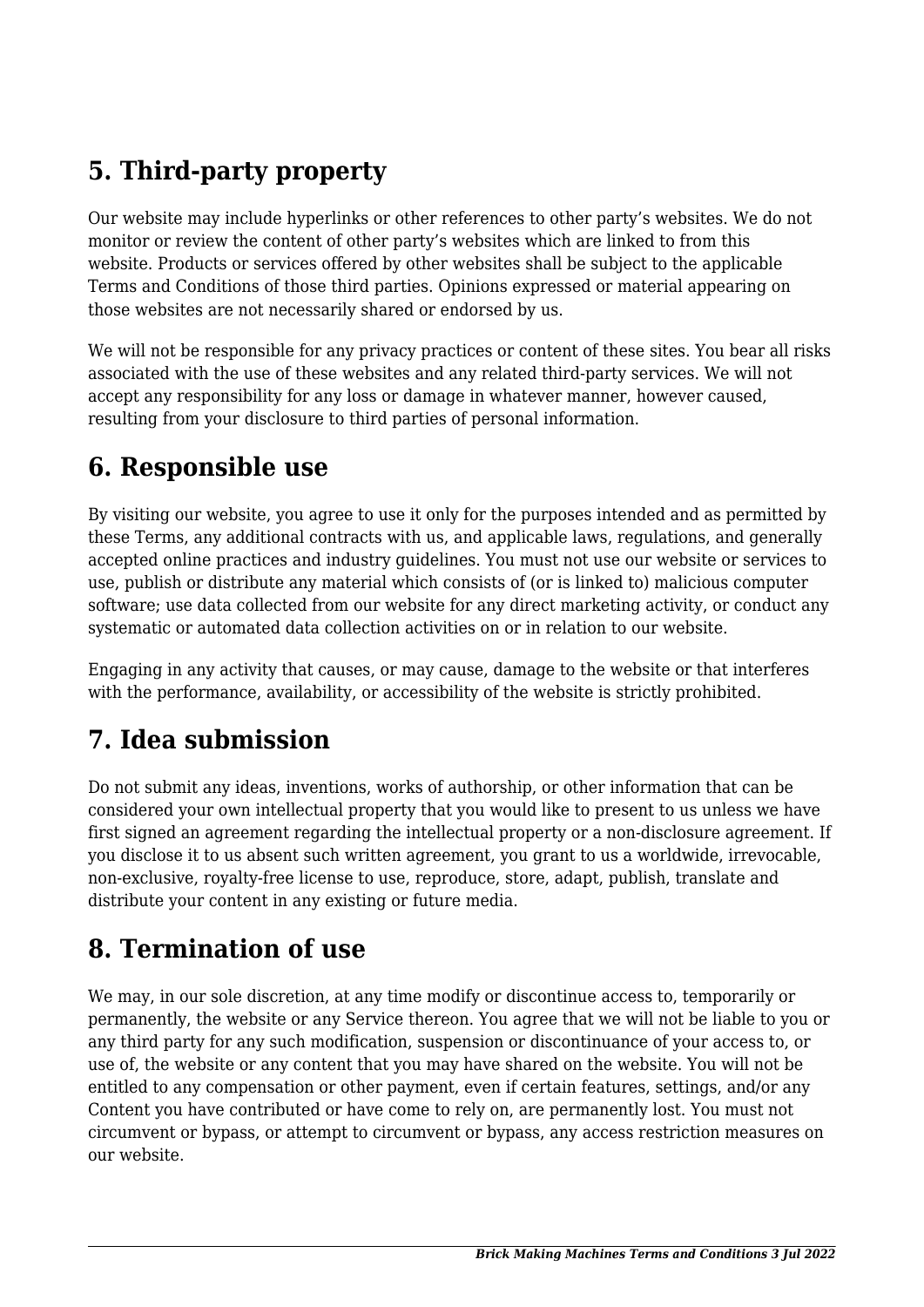# **5. Third-party property**

Our website may include hyperlinks or other references to other party's websites. We do not monitor or review the content of other party's websites which are linked to from this website. Products or services offered by other websites shall be subject to the applicable Terms and Conditions of those third parties. Opinions expressed or material appearing on those websites are not necessarily shared or endorsed by us.

We will not be responsible for any privacy practices or content of these sites. You bear all risks associated with the use of these websites and any related third-party services. We will not accept any responsibility for any loss or damage in whatever manner, however caused, resulting from your disclosure to third parties of personal information.

#### **6. Responsible use**

By visiting our website, you agree to use it only for the purposes intended and as permitted by these Terms, any additional contracts with us, and applicable laws, regulations, and generally accepted online practices and industry guidelines. You must not use our website or services to use, publish or distribute any material which consists of (or is linked to) malicious computer software; use data collected from our website for any direct marketing activity, or conduct any systematic or automated data collection activities on or in relation to our website.

Engaging in any activity that causes, or may cause, damage to the website or that interferes with the performance, availability, or accessibility of the website is strictly prohibited.

# **7. Idea submission**

Do not submit any ideas, inventions, works of authorship, or other information that can be considered your own intellectual property that you would like to present to us unless we have first signed an agreement regarding the intellectual property or a non-disclosure agreement. If you disclose it to us absent such written agreement, you grant to us a worldwide, irrevocable, non-exclusive, royalty-free license to use, reproduce, store, adapt, publish, translate and distribute your content in any existing or future media.

## **8. Termination of use**

We may, in our sole discretion, at any time modify or discontinue access to, temporarily or permanently, the website or any Service thereon. You agree that we will not be liable to you or any third party for any such modification, suspension or discontinuance of your access to, or use of, the website or any content that you may have shared on the website. You will not be entitled to any compensation or other payment, even if certain features, settings, and/or any Content you have contributed or have come to rely on, are permanently lost. You must not circumvent or bypass, or attempt to circumvent or bypass, any access restriction measures on our website.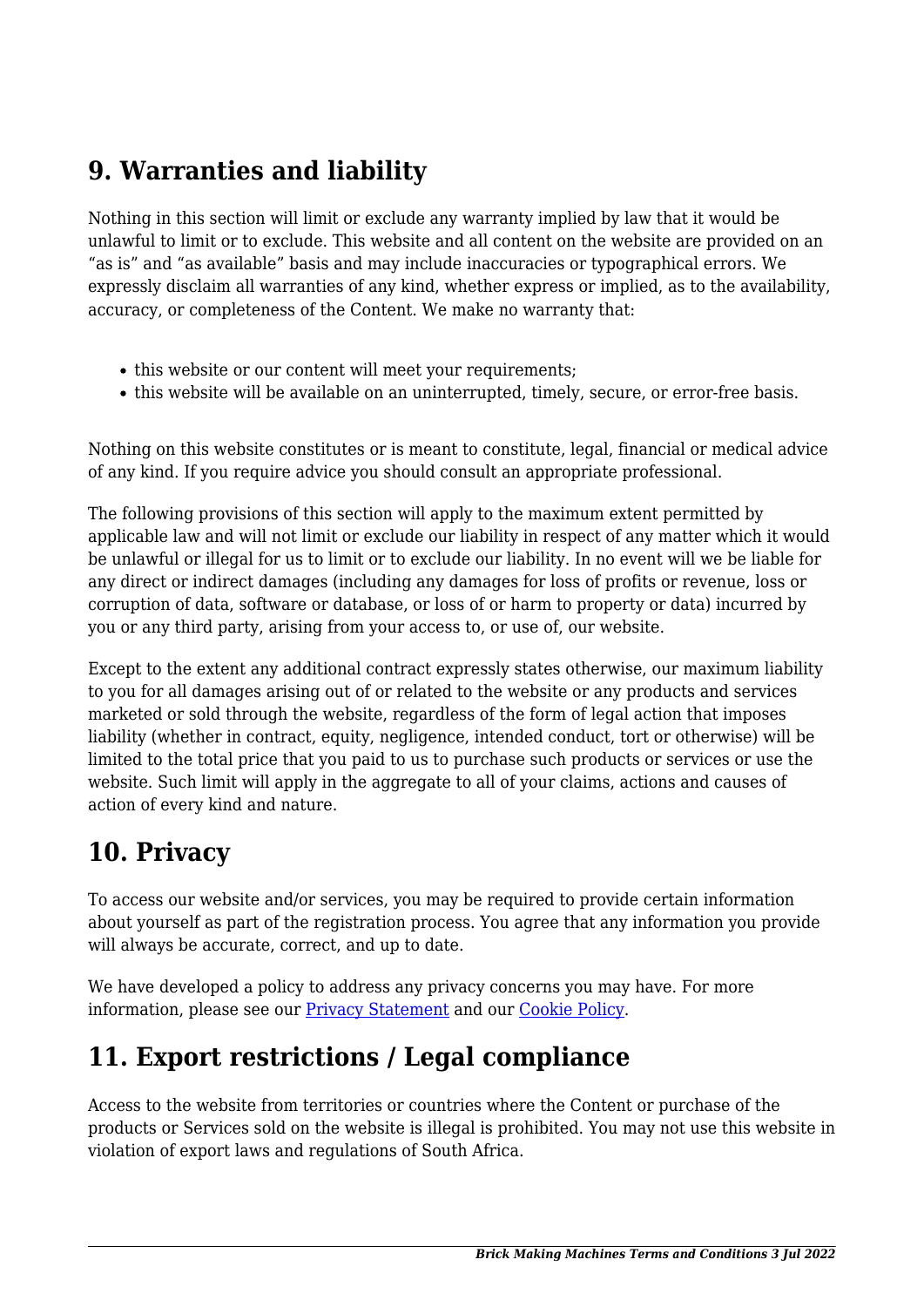## **9. Warranties and liability**

Nothing in this section will limit or exclude any warranty implied by law that it would be unlawful to limit or to exclude. This website and all content on the website are provided on an "as is" and "as available" basis and may include inaccuracies or typographical errors. We expressly disclaim all warranties of any kind, whether express or implied, as to the availability, accuracy, or completeness of the Content. We make no warranty that:

- this website or our content will meet your requirements;
- this website will be available on an uninterrupted, timely, secure, or error-free basis.

Nothing on this website constitutes or is meant to constitute, legal, financial or medical advice of any kind. If you require advice you should consult an appropriate professional.

The following provisions of this section will apply to the maximum extent permitted by applicable law and will not limit or exclude our liability in respect of any matter which it would be unlawful or illegal for us to limit or to exclude our liability. In no event will we be liable for any direct or indirect damages (including any damages for loss of profits or revenue, loss or corruption of data, software or database, or loss of or harm to property or data) incurred by you or any third party, arising from your access to, or use of, our website.

Except to the extent any additional contract expressly states otherwise, our maximum liability to you for all damages arising out of or related to the website or any products and services marketed or sold through the website, regardless of the form of legal action that imposes liability (whether in contract, equity, negligence, intended conduct, tort or otherwise) will be limited to the total price that you paid to us to purchase such products or services or use the website. Such limit will apply in the aggregate to all of your claims, actions and causes of action of every kind and nature.

## **10. Privacy**

To access our website and/or services, you may be required to provide certain information about yourself as part of the registration process. You agree that any information you provide will always be accurate, correct, and up to date.

We have developed a policy to address any privacy concerns you may have. For more information, please see our **Privacy Statement** and our Cookie Policy.

# **11. Export restrictions / Legal compliance**

Access to the website from territories or countries where the Content or purchase of the products or Services sold on the website is illegal is prohibited. You may not use this website in violation of export laws and regulations of South Africa.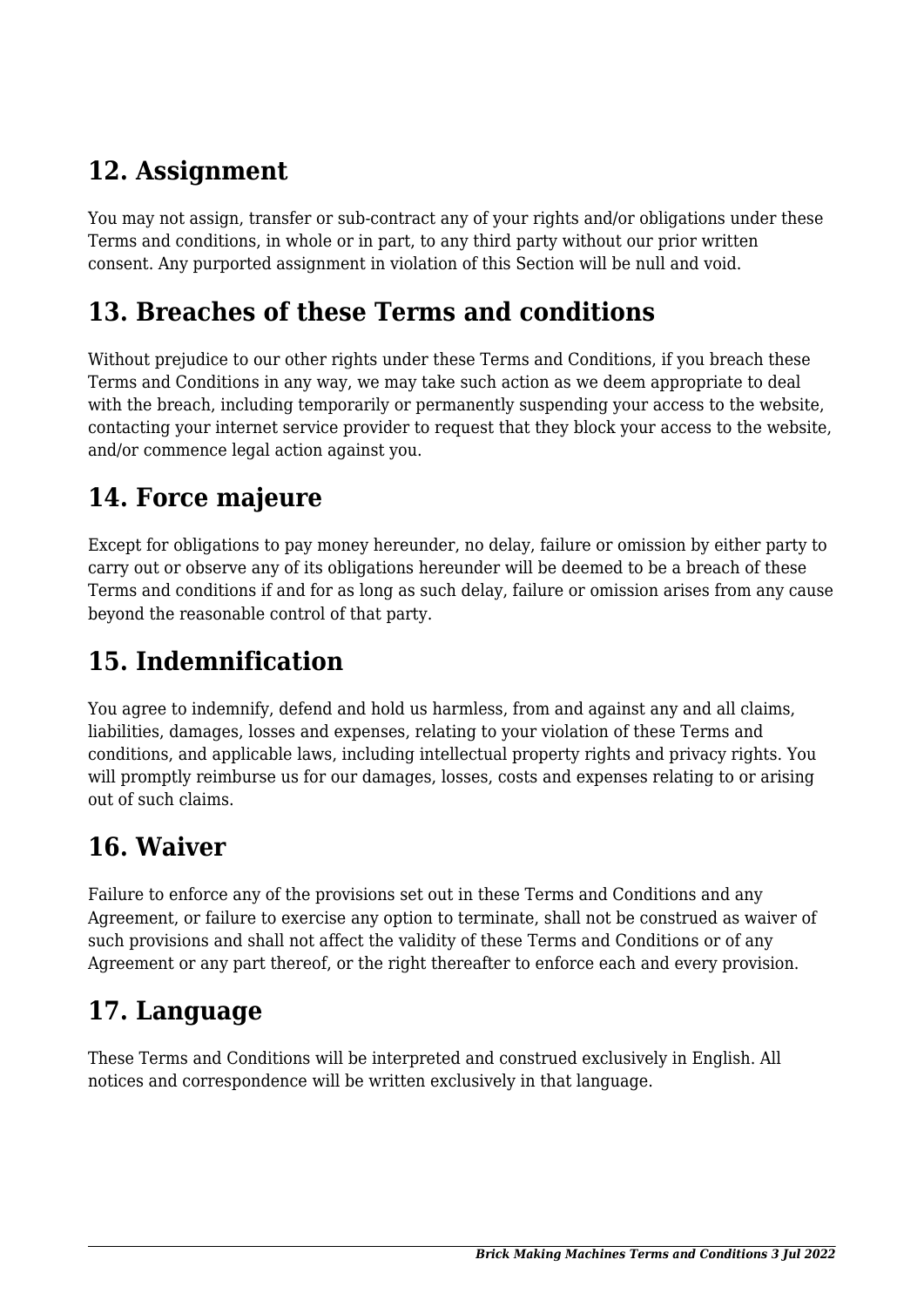## **12. Assignment**

You may not assign, transfer or sub-contract any of your rights and/or obligations under these Terms and conditions, in whole or in part, to any third party without our prior written consent. Any purported assignment in violation of this Section will be null and void.

#### **13. Breaches of these Terms and conditions**

Without prejudice to our other rights under these Terms and Conditions, if you breach these Terms and Conditions in any way, we may take such action as we deem appropriate to deal with the breach, including temporarily or permanently suspending your access to the website, contacting your internet service provider to request that they block your access to the website, and/or commence legal action against you.

## **14. Force majeure**

Except for obligations to pay money hereunder, no delay, failure or omission by either party to carry out or observe any of its obligations hereunder will be deemed to be a breach of these Terms and conditions if and for as long as such delay, failure or omission arises from any cause beyond the reasonable control of that party.

# **15. Indemnification**

You agree to indemnify, defend and hold us harmless, from and against any and all claims, liabilities, damages, losses and expenses, relating to your violation of these Terms and conditions, and applicable laws, including intellectual property rights and privacy rights. You will promptly reimburse us for our damages, losses, costs and expenses relating to or arising out of such claims.

## **16. Waiver**

Failure to enforce any of the provisions set out in these Terms and Conditions and any Agreement, or failure to exercise any option to terminate, shall not be construed as waiver of such provisions and shall not affect the validity of these Terms and Conditions or of any Agreement or any part thereof, or the right thereafter to enforce each and every provision.

## **17. Language**

These Terms and Conditions will be interpreted and construed exclusively in English. All notices and correspondence will be written exclusively in that language.